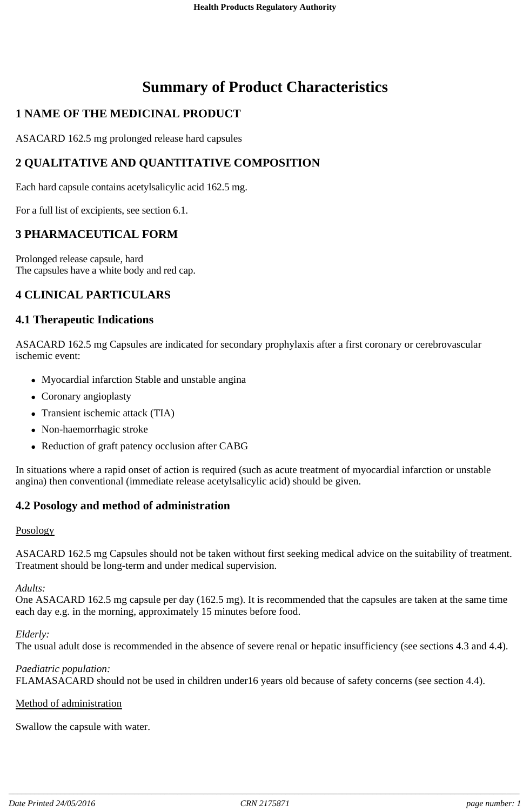# **Summary of Product Characteristics**

## **1 NAME OF THE MEDICINAL PRODUCT**

ASACARD 162.5 mg prolonged release hard capsules

## **2 QUALITATIVE AND QUANTITATIVE COMPOSITION**

Each hard capsule contains acetylsalicylic acid 162.5 mg.

For a full list of excipients, see section 6.1.

## **3 PHARMACEUTICAL FORM**

Prolonged release capsule, hard The capsules have a white body and red cap.

## **4 CLINICAL PARTICULARS**

### **4.1 Therapeutic Indications**

ASACARD 162.5 mg Capsules are indicated for secondary prophylaxis after a first coronary or cerebrovascular ischemic event:

- Myocardial infarction Stable and unstable angina
- Coronary angioplasty
- Transient ischemic attack (TIA)
- Non-haemorrhagic stroke
- Reduction of graft patency occlusion after CABG

In situations where a rapid onset of action is required (such as acute treatment of myocardial infarction or unstable angina) then conventional (immediate release acetylsalicylic acid) should be given.

## **4.2 Posology and method of administration**

#### Posology

ASACARD 162.5 mg Capsules should not be taken without first seeking medical advice on the suitability of treatment. Treatment should be long-term and under medical supervision.

#### *Adults:*

One ASACARD 162.5 mg capsule per day (162.5 mg). It is recommended that the capsules are taken at the same time each day e.g. in the morning, approximately 15 minutes before food.

#### *Elderly:*

The usual adult dose is recommended in the absence of severe renal or hepatic insufficiency (see sections 4.3 and 4.4).

*Paediatric population:* FLAMASACARD should not be used in children under16 years old because of safety concerns (see section 4.4).

#### Method of administration

Swallow the capsule with water.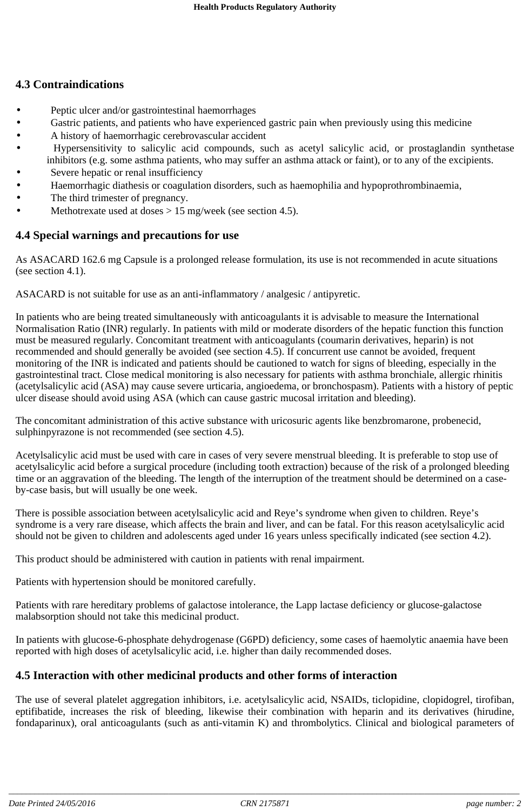## **4.3 Contraindications**

- Peptic ulcer and/or gastrointestinal haemorrhages
- Gastric patients, and patients who have experienced gastric pain when previously using this medicine
- A history of haemorrhagic cerebrovascular accident
- Hypersensitivity to salicylic acid compounds, such as acetyl salicylic acid, or prostaglandin synthetase inhibitors (e.g. some asthma patients, who may suffer an asthma attack or faint), or to any of the excipients.
- Severe hepatic or renal insufficiency
- Haemorrhagic diathesis or coagulation disorders, such as haemophilia and hypoprothrombinaemia,
- The third trimester of pregnancy.
- Methotrexate used at doses  $> 15$  mg/week (see section 4.5).

## **4.4 Special warnings and precautions for use**

As ASACARD 162.6 mg Capsule is a prolonged release formulation, its use is not recommended in acute situations (see section 4.1).

ASACARD is not suitable for use as an anti-inflammatory / analgesic / antipyretic.

In patients who are being treated simultaneously with anticoagulants it is advisable to measure the International Normalisation Ratio (INR) regularly. In patients with mild or moderate disorders of the hepatic function this function must be measured regularly. Concomitant treatment with anticoagulants (coumarin derivatives, heparin) is not recommended and should generally be avoided (see section 4.5). If concurrent use cannot be avoided, frequent monitoring of the INR is indicated and patients should be cautioned to watch for signs of bleeding, especially in the gastrointestinal tract. Close medical monitoring is also necessary for patients with asthma bronchiale, allergic rhinitis (acetylsalicylic acid (ASA) may cause severe urticaria, angioedema, or bronchospasm). Patients with a history of peptic ulcer disease should avoid using ASA (which can cause gastric mucosal irritation and bleeding).

The concomitant administration of this active substance with uricosuric agents like benzbromarone, probenecid, sulphinpyrazone is not recommended (see section 4.5).

Acetylsalicylic acid must be used with care in cases of very severe menstrual bleeding. It is preferable to stop use of acetylsalicylic acid before a surgical procedure (including tooth extraction) because of the risk of a prolonged bleeding time or an aggravation of the bleeding. The length of the interruption of the treatment should be determined on a caseby-case basis, but will usually be one week.

There is possible association between acetylsalicylic acid and Reye's syndrome when given to children. Reye's syndrome is a very rare disease, which affects the brain and liver, and can be fatal. For this reason acetylsalicylic acid should not be given to children and adolescents aged under 16 years unless specifically indicated (see section 4.2).

This product should be administered with caution in patients with renal impairment.

Patients with hypertension should be monitored carefully.

Patients with rare hereditary problems of galactose intolerance, the Lapp lactase deficiency or glucose-galactose malabsorption should not take this medicinal product.

In patients with glucose-6-phosphate dehydrogenase (G6PD) deficiency, some cases of haemolytic anaemia have been reported with high doses of acetylsalicylic acid, i.e. higher than daily recommended doses.

## **4.5 Interaction with other medicinal products and other forms of interaction**

The use of several platelet aggregation inhibitors, i.e. acetylsalicylic acid, NSAIDs, ticlopidine, clopidogrel, tirofiban, eptifibatide, increases the risk of bleeding, likewise their combination with heparin and its derivatives (hirudine, fondaparinux), oral anticoagulants (such as anti-vitamin K) and thrombolytics. Clinical and biological parameters of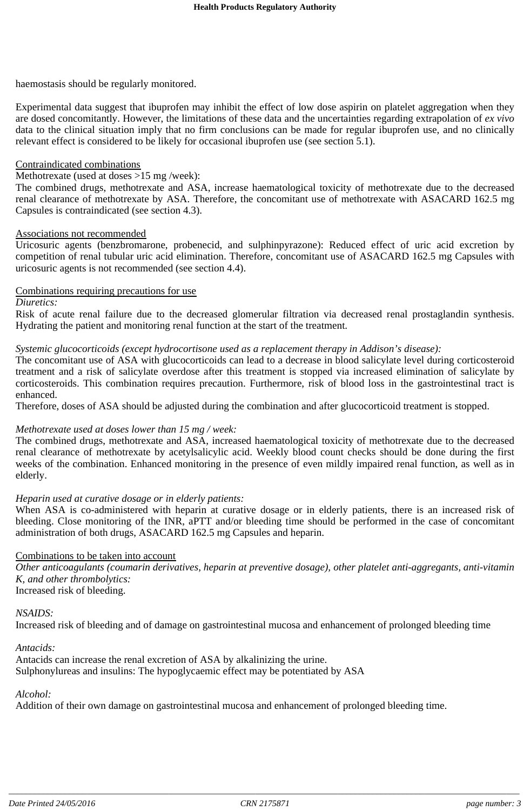haemostasis should be regularly monitored.

Experimental data suggest that ibuprofen may inhibit the effect of low dose aspirin on platelet aggregation when they are dosed concomitantly. However, the limitations of these data and the uncertainties regarding extrapolation of *ex vivo* data to the clinical situation imply that no firm conclusions can be made for regular ibuprofen use, and no clinically relevant effect is considered to be likely for occasional ibuprofen use (see section 5.1).

#### Contraindicated combinations

#### Methotrexate (used at doses >15 mg /week):

The combined drugs, methotrexate and ASA, increase haematological toxicity of methotrexate due to the decreased renal clearance of methotrexate by ASA. Therefore, the concomitant use of methotrexate with ASACARD 162.5 mg Capsules is contraindicated (see section 4.3).

#### Associations not recommended

Uricosuric agents (benzbromarone, probenecid, and sulphinpyrazone): Reduced effect of uric acid excretion by competition of renal tubular uric acid elimination. Therefore, concomitant use of ASACARD 162.5 mg Capsules with uricosuric agents is not recommended (see section 4.4).

#### Combinations requiring precautions for use

#### *Diuretics:*

Risk of acute renal failure due to the decreased glomerular filtration via decreased renal prostaglandin synthesis. Hydrating the patient and monitoring renal function at the start of the treatment.

#### *Systemic glucocorticoids (except hydrocortisone used as a replacement therapy in Addison's disease):*

The concomitant use of ASA with glucocorticoids can lead to a decrease in blood salicylate level during corticosteroid treatment and a risk of salicylate overdose after this treatment is stopped via increased elimination of salicylate by corticosteroids. This combination requires precaution. Furthermore, risk of blood loss in the gastrointestinal tract is enhanced.

Therefore, doses of ASA should be adjusted during the combination and after glucocorticoid treatment is stopped.

#### *Methotrexate used at doses lower than 15 mg / week:*

The combined drugs, methotrexate and ASA, increased haematological toxicity of methotrexate due to the decreased renal clearance of methotrexate by acetylsalicylic acid. Weekly blood count checks should be done during the first weeks of the combination. Enhanced monitoring in the presence of even mildly impaired renal function, as well as in elderly.

#### *Heparin used at curative dosage or in elderly patients:*

When ASA is co-administered with heparin at curative dosage or in elderly patients, there is an increased risk of bleeding. Close monitoring of the INR, aPTT and/or bleeding time should be performed in the case of concomitant administration of both drugs, ASACARD 162.5 mg Capsules and heparin.

#### Combinations to be taken into account

*Other anticoagulants (coumarin derivatives, heparin at preventive dosage), other platelet anti-aggregants, anti-vitamin K, and other thrombolytics:* Increased risk of bleeding.

*NSAIDS:*

Increased risk of bleeding and of damage on gastrointestinal mucosa and enhancement of prolonged bleeding time

## *Antacids:*

Antacids can increase the renal excretion of ASA by alkalinizing the urine. Sulphonylureas and insulins: The hypoglycaemic effect may be potentiated by ASA

#### *Alcohol:*

Addition of their own damage on gastrointestinal mucosa and enhancement of prolonged bleeding time.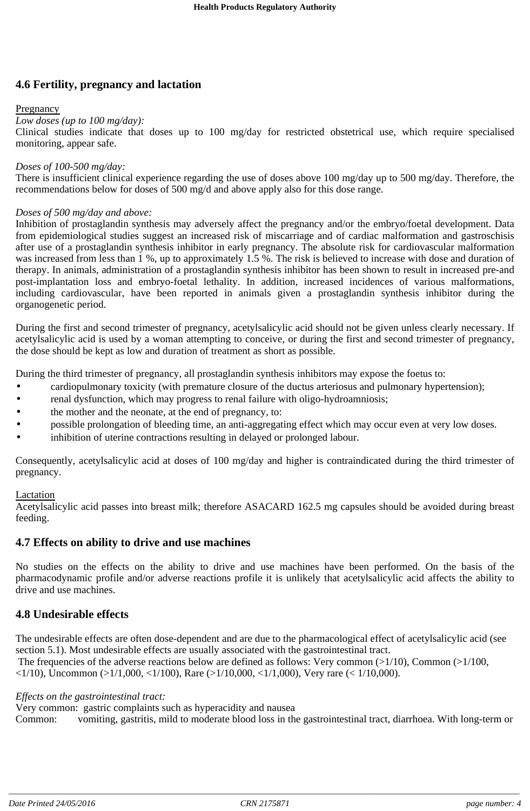## **4.6 Fertility, pregnancy and lactation**

### Pregnancy

#### *Low doses (up to 100 mg/day):*

Clinical studies indicate that doses up to 100 mg/day for restricted obstetrical use, which require specialised monitoring, appear safe.

#### *Doses of 100-500 mg/day:*

There is insufficient clinical experience regarding the use of doses above 100 mg/day up to 500 mg/day. Therefore, the recommendations below for doses of 500 mg/d and above apply also for this dose range.

#### *Doses of 500 mg/day and above:*

Inhibition of prostaglandin synthesis may adversely affect the pregnancy and/or the embryo/foetal development. Data from epidemiological studies suggest an increased risk of miscarriage and of cardiac malformation and gastroschisis after use of a prostaglandin synthesis inhibitor in early pregnancy. The absolute risk for cardiovascular malformation was increased from less than 1 %, up to approximately 1.5 %. The risk is believed to increase with dose and duration of therapy. In animals, administration of a prostaglandin synthesis inhibitor has been shown to result in increased pre-and post-implantation loss and embryo-foetal lethality. In addition, increased incidences of various malformations, including cardiovascular, have been reported in animals given a prostaglandin synthesis inhibitor during the organogenetic period.

During the first and second trimester of pregnancy, acetylsalicylic acid should not be given unless clearly necessary. If acetylsalicylic acid is used by a woman attempting to conceive, or during the first and second trimester of pregnancy, the dose should be kept as low and duration of treatment as short as possible.

During the third trimester of pregnancy, all prostaglandin synthesis inhibitors may expose the foetus to:

- cardiopulmonary toxicity (with premature closure of the ductus arteriosus and pulmonary hypertension);
- renal dysfunction, which may progress to renal failure with oligo-hydroamniosis;
- the mother and the neonate, at the end of pregnancy, to:
- possible prolongation of bleeding time, an anti-aggregating effect which may occur even at very low doses.
- inhibition of uterine contractions resulting in delayed or prolonged labour.

Consequently, acetylsalicylic acid at doses of 100 mg/day and higher is contraindicated during the third trimester of pregnancy.

#### **Lactation**

Acetylsalicylic acid passes into breast milk; therefore ASACARD 162.5 mg capsules should be avoided during breast feeding.

## **4.7 Effects on ability to drive and use machines**

No studies on the effects on the ability to drive and use machines have been performed. On the basis of the pharmacodynamic profile and/or adverse reactions profile it is unlikely that acetylsalicylic acid affects the ability to drive and use machines.

## **4.8 Undesirable effects**

The undesirable effects are often dose-dependent and are due to the pharmacological effect of acetylsalicylic acid (see section 5.1). Most undesirable effects are usually associated with the gastrointestinal tract. The frequencies of the adverse reactions below are defined as follows: Very common  $(>1/10)$ , Common  $(>1/100)$ ,

 $\langle 1/10 \rangle$ , Uncommon ( $\langle 1/1,000, \langle 1/100 \rangle$ , Rare ( $\langle 1/10,000, \langle 1/1,000 \rangle$ , Very rare ( $\langle 1/10,000 \rangle$ ).

#### *Effects on the gastrointestinal tract:*

Very common: gastric complaints such as hyperacidity and nausea

Common: vomiting, gastritis, mild to moderate blood loss in the gastrointestinal tract, diarrhoea. With long-term or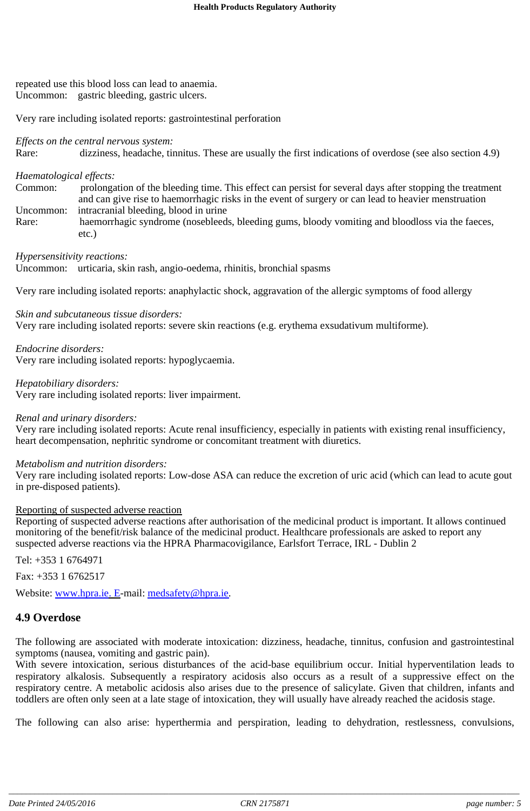repeated use this blood loss can lead to anaemia. Uncommon: gastric bleeding, gastric ulcers.

Very rare including isolated reports: gastrointestinal perforation

*Effects on the central nervous system:*

Rare: dizziness, headache, tinnitus. These are usually the first indications of overdose (see also section 4.9)

## *Haematological effects:*

Common: prolongation of the bleeding time. This effect can persist for several days after stopping the treatment and can give rise to haemorrhagic risks in the event of surgery or can lead to heavier menstruation Uncommon: intracranial bleeding, blood in urine

Rare: haemorrhagic syndrome (nosebleeds, bleeding gums, bloody vomiting and bloodloss via the faeces, etc.)

*Hypersensitivity reactions:*

Uncommon: urticaria, skin rash, angio-oedema, rhinitis, bronchial spasms

Very rare including isolated reports: anaphylactic shock, aggravation of the allergic symptoms of food allergy

### *Skin and subcutaneous tissue disorders:*

Very rare including isolated reports: severe skin reactions (e.g. erythema exsudativum multiforme).

*Endocrine disorders:*

Very rare including isolated reports: hypoglycaemia.

*Hepatobiliary disorders:*

Very rare including isolated reports: liver impairment.

#### *Renal and urinary disorders:*

Very rare including isolated reports: Acute renal insufficiency, especially in patients with existing renal insufficiency, heart decompensation, nephritic syndrome or concomitant treatment with diuretics.

#### *Metabolism and nutrition disorders:*

Very rare including isolated reports: Low-dose ASA can reduce the excretion of uric acid (which can lead to acute gout in pre-disposed patients).

#### Reporting of suspected adverse reaction

Reporting of suspected adverse reactions after authorisation of the medicinal product is important. It allows continued monitoring of the benefit/risk balance of the medicinal product. Healthcare professionals are asked to report any suspected adverse reactions via the HPRA Pharmacovigilance, Earlsfort Terrace, IRL - Dublin 2

Tel: +353 1 6764971

Fax: +353 1 6762517

Website: www.hpra.ie. E-mail: medsafety@hpra.ie.

## **4.9 Overdose**

The following are associated with moderate intoxication: dizziness, headache, tinnitus, confusion and gastrointestinal symptoms (nausea, vomiting and gastric pain).

With severe intoxication, serious disturbances of the acid-base equilibrium occur. Initial hyperventilation leads to respiratory alkalosis. Subsequently a respiratory acidosis also occurs as a result of a suppressive effect on the respiratory centre. A metabolic acidosis also arises due to the presence of salicylate. Given that children, infants and toddlers are often only seen at a late stage of intoxication, they will usually have already reached the acidosis stage.

The following can also arise: hyperthermia and perspiration, leading to dehydration, restlessness, convulsions,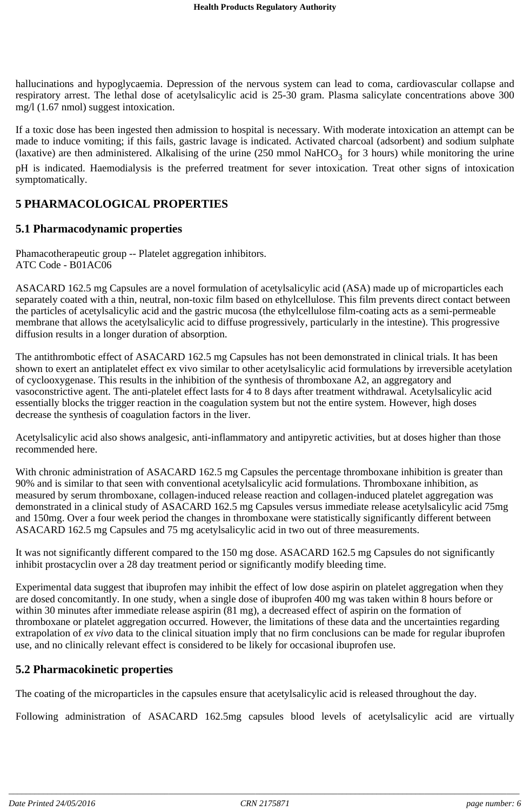hallucinations and hypoglycaemia. Depression of the nervous system can lead to coma, cardiovascular collapse and respiratory arrest. The lethal dose of acetylsalicylic acid is 25-30 gram. Plasma salicylate concentrations above 300 mg/l (1.67 nmol) suggest intoxication.

If a toxic dose has been ingested then admission to hospital is necessary. With moderate intoxication an attempt can be made to induce vomiting; if this fails, gastric lavage is indicated. Activated charcoal (adsorbent) and sodium sulphate (laxative) are then administered. Alkalising of the urine (250 mmol NaHCO<sub>3</sub> for 3 hours) while monitoring the urine pH is indicated. Haemodialysis is the preferred treatment for sever intoxication. Treat other signs of intoxication symptomatically.

## **5 PHARMACOLOGICAL PROPERTIES**

## **5.1 Pharmacodynamic properties**

Phamacotherapeutic group -- Platelet aggregation inhibitors. ATC Code - B01AC06

ASACARD 162.5 mg Capsules are a novel formulation of acetylsalicylic acid (ASA) made up of microparticles each separately coated with a thin, neutral, non-toxic film based on ethylcellulose. This film prevents direct contact between the particles of acetylsalicylic acid and the gastric mucosa (the ethylcellulose film-coating acts as a semi-permeable membrane that allows the acetylsalicylic acid to diffuse progressively, particularly in the intestine). This progressive diffusion results in a longer duration of absorption.

The antithrombotic effect of ASACARD 162.5 mg Capsules has not been demonstrated in clinical trials. It has been shown to exert an antiplatelet effect ex vivo similar to other acetylsalicylic acid formulations by irreversible acetylation of cyclooxygenase. This results in the inhibition of the synthesis of thromboxane A2, an aggregatory and vasoconstrictive agent. The anti-platelet effect lasts for 4 to 8 days after treatment withdrawal. Acetylsalicylic acid essentially blocks the trigger reaction in the coagulation system but not the entire system. However, high doses decrease the synthesis of coagulation factors in the liver.

Acetylsalicylic acid also shows analgesic, anti-inflammatory and antipyretic activities, but at doses higher than those recommended here.

With chronic administration of ASACARD 162.5 mg Capsules the percentage thromboxane inhibition is greater than 90% and is similar to that seen with conventional acetylsalicylic acid formulations. Thromboxane inhibition, as measured by serum thromboxane, collagen-induced release reaction and collagen-induced platelet aggregation was demonstrated in a clinical study of ASACARD 162.5 mg Capsules versus immediate release acetylsalicylic acid 75mg and 150mg. Over a four week period the changes in thromboxane were statistically significantly different between ASACARD 162.5 mg Capsules and 75 mg acetylsalicylic acid in two out of three measurements.

It was not significantly different compared to the 150 mg dose. ASACARD 162.5 mg Capsules do not significantly inhibit prostacyclin over a 28 day treatment period or significantly modify bleeding time.

Experimental data suggest that ibuprofen may inhibit the effect of low dose aspirin on platelet aggregation when they are dosed concomitantly. In one study, when a single dose of ibuprofen 400 mg was taken within 8 hours before or within 30 minutes after immediate release aspirin (81 mg), a decreased effect of aspirin on the formation of thromboxane or platelet aggregation occurred. However, the limitations of these data and the uncertainties regarding extrapolation of *ex vivo* data to the clinical situation imply that no firm conclusions can be made for regular ibuprofen use, and no clinically relevant effect is considered to be likely for occasional ibuprofen use.

## **5.2 Pharmacokinetic properties**

The coating of the microparticles in the capsules ensure that acetylsalicylic acid is released throughout the day.

Following administration of ASACARD 162.5mg capsules blood levels of acetylsalicylic acid are virtually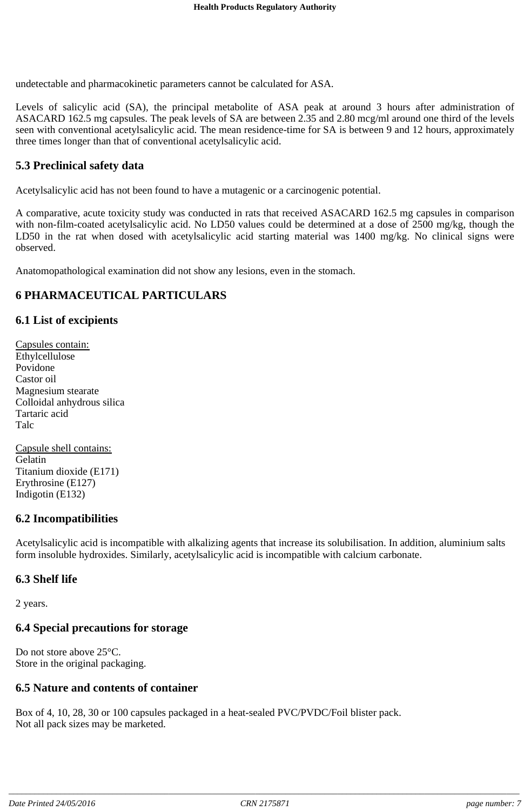undetectable and pharmacokinetic parameters cannot be calculated for ASA.

Levels of salicylic acid (SA), the principal metabolite of ASA peak at around 3 hours after administration of ASACARD 162.5 mg capsules. The peak levels of SA are between 2.35 and 2.80 mcg/ml around one third of the levels seen with conventional acetylsalicylic acid. The mean residence-time for SA is between 9 and 12 hours, approximately three times longer than that of conventional acetylsalicylic acid.

## **5.3 Preclinical safety data**

Acetylsalicylic acid has not been found to have a mutagenic or a carcinogenic potential.

A comparative, acute toxicity study was conducted in rats that received ASACARD 162.5 mg capsules in comparison with non-film-coated acetylsalicylic acid. No LD50 values could be determined at a dose of 2500 mg/kg, though the LD50 in the rat when dosed with acetylsalicylic acid starting material was 1400 mg/kg. No clinical signs were observed.

Anatomopathological examination did not show any lesions, even in the stomach.

## **6 PHARMACEUTICAL PARTICULARS**

### **6.1 List of excipients**

Capsules contain: Ethylcellulose Povidone Castor oil Magnesium stearate Colloidal anhydrous silica Tartaric acid Talc

Capsule shell contains: Gelatin Titanium dioxide (E171) Erythrosine (E127) Indigotin (E132)

## **6.2 Incompatibilities**

Acetylsalicylic acid is incompatible with alkalizing agents that increase its solubilisation. In addition, aluminium salts form insoluble hydroxides. Similarly, acetylsalicylic acid is incompatible with calcium carbonate.

#### **6.3 Shelf life**

2 years.

## **6.4 Special precautions for storage**

Do not store above 25°C. Store in the original packaging.

## **6.5 Nature and contents of container**

Box of 4, 10, 28, 30 or 100 capsules packaged in a heat-sealed PVC/PVDC/Foil blister pack. Not all pack sizes may be marketed.